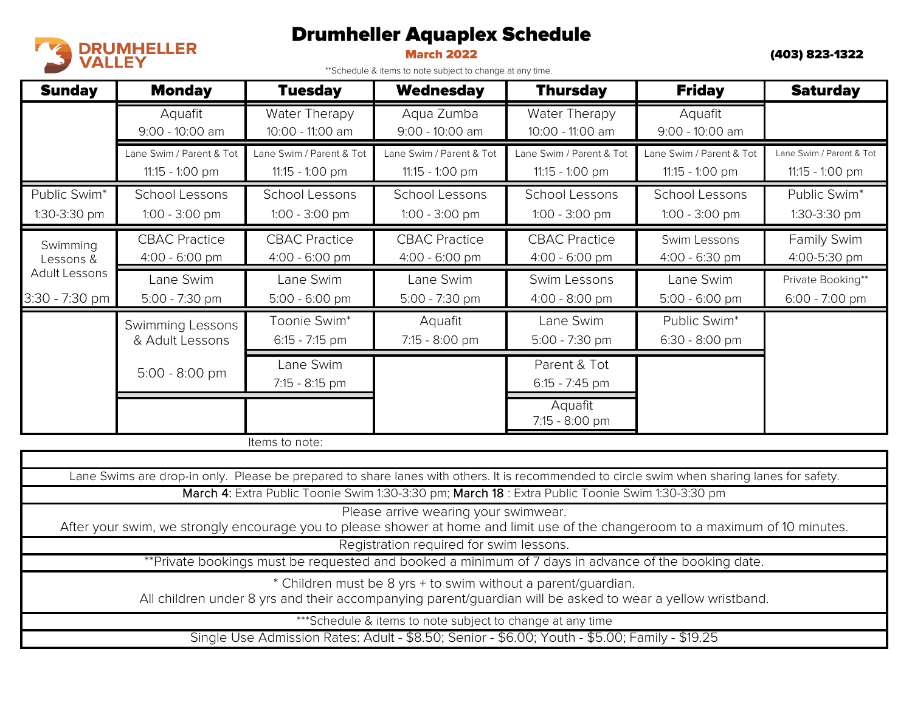## Drumheller Aquaplex Schedule



March 2022 (403) 823-1322

\*\*Schedule & items to note subject to change at any time.

| <b>Sunday</b>                                                                                                                                                                                                                                   | <b>Monday</b>                               | <b>Tuesday</b>                                | <b>Wednesday</b>                            | <b>Thursday</b>                             | <b>Friday</b>                                 | <b>Saturday</b>                             |  |  |  |
|-------------------------------------------------------------------------------------------------------------------------------------------------------------------------------------------------------------------------------------------------|---------------------------------------------|-----------------------------------------------|---------------------------------------------|---------------------------------------------|-----------------------------------------------|---------------------------------------------|--|--|--|
|                                                                                                                                                                                                                                                 | Aquafit<br>9:00 - 10:00 am                  | Water Therapy<br>10:00 - 11:00 am             | Aqua Zumba<br>9:00 - 10:00 am               | Water Therapy<br>10:00 - 11:00 am           | Aquafit<br>9:00 - 10:00 am                    |                                             |  |  |  |
|                                                                                                                                                                                                                                                 | Lane Swim / Parent & Tot<br>11:15 - 1:00 pm | Lane Swim / Parent & Tot<br>$11:15 - 1:00$ pm | Lane Swim / Parent & Tot<br>11:15 - 1:00 pm | Lane Swim / Parent & Tot<br>11:15 - 1:00 pm | Lane Swim / Parent & Tot<br>$11:15 - 1:00$ pm | Lane Swim / Parent & Tot<br>11:15 - 1:00 pm |  |  |  |
| Public Swim*<br>1:30-3:30 pm                                                                                                                                                                                                                    | School Lessons<br>1:00 - 3:00 pm            | <b>School Lessons</b><br>1:00 - 3:00 pm       | <b>School Lessons</b><br>1:00 - 3:00 pm     | <b>School Lessons</b><br>1:00 - 3:00 pm     | School Lessons<br>1:00 - 3:00 pm              | Public Swim*<br>1:30-3:30 pm                |  |  |  |
| Swimming<br>Lessons &                                                                                                                                                                                                                           | <b>CBAC Practice</b><br>4:00 - 6:00 pm      | <b>CBAC Practice</b><br>$4:00 - 6:00$ pm      | <b>CBAC Practice</b><br>$4:00 - 6:00$ pm    | <b>CBAC Practice</b><br>4:00 - 6:00 pm      | Swim Lessons<br>4:00 - 6:30 pm                | Family Swim<br>4:00-5:30 pm                 |  |  |  |
| <b>Adult Lessons</b><br>3:30 - 7:30 pm                                                                                                                                                                                                          | Lane Swim<br>5:00 - 7:30 pm                 | Lane Swim<br>5:00 - 6:00 pm                   | Lane Swim<br>5:00 - 7:30 pm                 | Swim Lessons<br>4:00 - 8:00 pm              | Lane Swim<br>5:00 - 6:00 pm                   | Private Booking**<br>6:00 - 7:00 pm         |  |  |  |
|                                                                                                                                                                                                                                                 | <b>Swimming Lessons</b><br>& Adult Lessons  | Toonie Swim*<br>6:15 - 7:15 pm                | Aquafit<br>7:15 - 8:00 pm                   | Lane Swim<br>5:00 - 7:30 pm                 | Public Swim*<br>6:30 - 8:00 pm                |                                             |  |  |  |
|                                                                                                                                                                                                                                                 | 5:00 - 8:00 pm                              | Lane Swim<br>7:15 - 8:15 pm                   |                                             | Parent & Tot<br>6:15 - 7:45 pm              |                                               |                                             |  |  |  |
|                                                                                                                                                                                                                                                 |                                             |                                               |                                             | Aquafit<br>7:15 - 8:00 pm                   |                                               |                                             |  |  |  |
| Items to note:                                                                                                                                                                                                                                  |                                             |                                               |                                             |                                             |                                               |                                             |  |  |  |
| Lane Swims are drop-in only. Please be prepared to share lanes with others. It is recommended to circle swim when sharing lanes for safety.<br>March 4: Extra Public Toonie Swim 1:30-3:30 pm; March 18 : Extra Public Toonie Swim 1:30-3:30 pm |                                             |                                               |                                             |                                             |                                               |                                             |  |  |  |
| Please arrive wearing your swimwear.<br>After your swim, we strongly encourage you to please shower at home and limit use of the changeroom to a maximum of 10 minutes.                                                                         |                                             |                                               |                                             |                                             |                                               |                                             |  |  |  |
| Registration required for swim lessons.<br>**Private bookings must be requested and booked a minimum of 7 days in advance of the booking date.                                                                                                  |                                             |                                               |                                             |                                             |                                               |                                             |  |  |  |
| * Children must be 8 yrs + to swim without a parent/guardian.<br>All children under 8 yrs and their accompanying parent/guardian will be asked to wear a yellow wristband.                                                                      |                                             |                                               |                                             |                                             |                                               |                                             |  |  |  |
| *** Schedule & items to note subject to change at any time                                                                                                                                                                                      |                                             |                                               |                                             |                                             |                                               |                                             |  |  |  |
| Single Use Admission Rates: Adult - \$8.50; Senior - \$6.00; Youth - \$5.00; Family - \$19.25                                                                                                                                                   |                                             |                                               |                                             |                                             |                                               |                                             |  |  |  |